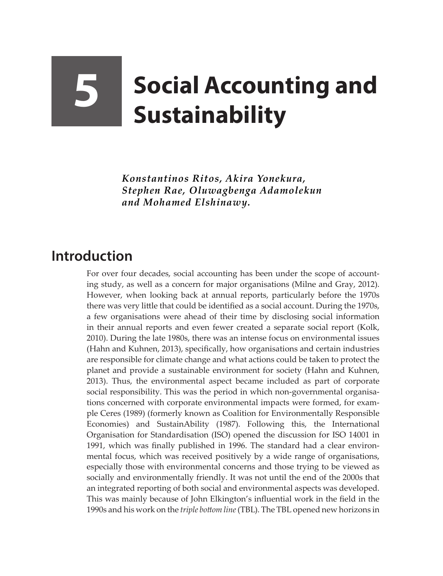## **5 Social Accounting and Sustainability**

*Konstantinos Ritos, Akira Yonekura, Stephen Rae, Oluwagbenga Adamolekun and Mohamed Elshinawy.*

## **Introduction**

For over four decades, social accounting has been under the scope of accounting study, as well as a concern for major organisations (Milne and Gray, 2012). However, when looking back at annual reports, particularly before the 1970s there was very little that could be identified as a social account. During the 1970s, a few organisations were ahead of their time by disclosing social information in their annual reports and even fewer created a separate social report (Kolk, 2010). During the late 1980s, there was an intense focus on environmental issues (Hahn and Kuhnen, 2013), specifically, how organisations and certain industries are responsible for climate change and what actions could be taken to protect the planet and provide a sustainable environment for society (Hahn and Kuhnen, 2013). Thus, the environmental aspect became included as part of corporate social responsibility. This was the period in which non-governmental organisations concerned with corporate environmental impacts were formed, for example Ceres (1989) (formerly known as Coalition for Environmentally Responsible Economies) and SustainAbility (1987). Following this, the International Organisation for Standardisation (ISO) opened the discussion for ISO 14001 in 1991, which was finally published in 1996. The standard had a clear environmental focus, which was received positively by a wide range of organisations, especially those with environmental concerns and those trying to be viewed as socially and environmentally friendly. It was not until the end of the 2000s that an integrated reporting of both social and environmental aspects was developed. This was mainly because of John Elkington's influential work in the field in the 1990s and his work on the *triple bottom line* (TBL). The TBL opened new horizons in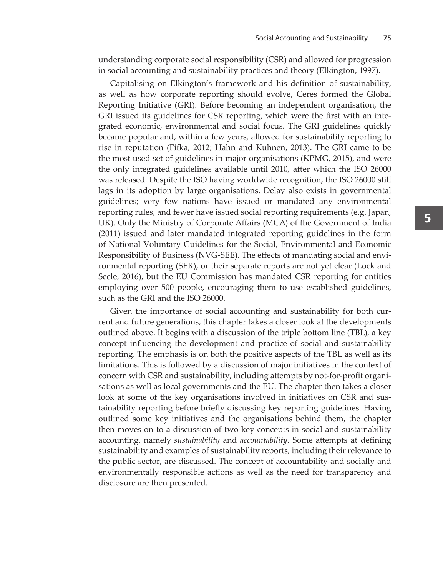understanding corporate social responsibility (CSR) and allowed for progression in social accounting and sustainability practices and theory (Elkington, 1997).

Capitalising on Elkington's framework and his definition of sustainability, as well as how corporate reporting should evolve, Ceres formed the Global Reporting Initiative (GRI). Before becoming an independent organisation, the GRI issued its guidelines for CSR reporting, which were the first with an integrated economic, environmental and social focus. The GRI guidelines quickly became popular and, within a few years, allowed for sustainability reporting to rise in reputation (Fifka, 2012; Hahn and Kuhnen, 2013). The GRI came to be the most used set of guidelines in major organisations (KPMG, 2015), and were the only integrated guidelines available until 2010, after which the ISO 26000 was released. Despite the ISO having worldwide recognition, the ISO 26000 still lags in its adoption by large organisations. Delay also exists in governmental guidelines; very few nations have issued or mandated any environmental reporting rules, and fewer have issued social reporting requirements (e.g. Japan, UK). Only the Ministry of Corporate Affairs (MCA) of the Government of India (2011) issued and later mandated integrated reporting guidelines in the form of National Voluntary Guidelines for the Social, Environmental and Economic Responsibility of Business (NVG-SEE). The effects of mandating social and environmental reporting (SER), or their separate reports are not yet clear (Lock and Seele, 2016), but the EU Commission has mandated CSR reporting for entities employing over 500 people, encouraging them to use established guidelines, such as the GRI and the ISO 26000.

Given the importance of social accounting and sustainability for both current and future generations, this chapter takes a closer look at the developments outlined above. It begins with a discussion of the triple bottom line (TBL), a key concept influencing the development and practice of social and sustainability reporting. The emphasis is on both the positive aspects of the TBL as well as its limitations. This is followed by a discussion of major initiatives in the context of concern with CSR and sustainability, including attempts by not-for-profit organisations as well as local governments and the EU. The chapter then takes a closer look at some of the key organisations involved in initiatives on CSR and sustainability reporting before briefly discussing key reporting guidelines. Having outlined some key initiatives and the organisations behind them, the chapter then moves on to a discussion of two key concepts in social and sustainability accounting, namely *sustainability* and *accountability*. Some attempts at defining sustainability and examples of sustainability reports, including their relevance to the public sector, are discussed. The concept of accountability and socially and environmentally responsible actions as well as the need for transparency and disclosure are then presented.